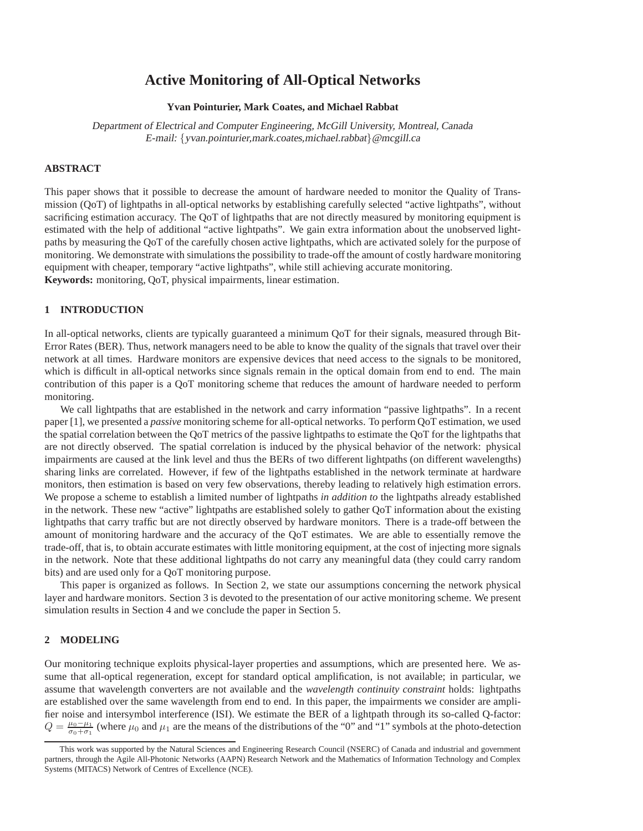# **Active Monitoring of All-Optical Networks**

#### **Yvan Pointurier, Mark Coates, and Michael Rabbat**

Department of Electrical and Computer Engineering, McGill University, Montreal, Canada E-mail: {yvan.pointurier,mark.coates,michael.rabbat}@mcgill.ca

# **ABSTRACT**

This paper shows that it possible to decrease the amount of hardware needed to monitor the Quality of Transmission (QoT) of lightpaths in all-optical networks by establishing carefully selected "active lightpaths", without sacrificing estimation accuracy. The QoT of lightpaths that are not directly measured by monitoring equipment is estimated with the help of additional "active lightpaths". We gain extra information about the unobserved lightpaths by measuring the QoT of the carefully chosen active lightpaths, which are activated solely for the purpose of monitoring. We demonstrate with simulations the possibility to trade-off the amount of costly hardware monitoring equipment with cheaper, temporary "active lightpaths", while still achieving accurate monitoring. **Keywords:** monitoring, QoT, physical impairments, linear estimation.

# **1 INTRODUCTION**

In all-optical networks, clients are typically guaranteed a minimum QoT for their signals, measured through Bit-Error Rates (BER). Thus, network managers need to be able to know the quality of the signals that travel over their network at all times. Hardware monitors are expensive devices that need access to the signals to be monitored, which is difficult in all-optical networks since signals remain in the optical domain from end to end. The main contribution of this paper is a QoT monitoring scheme that reduces the amount of hardware needed to perform monitoring.

We call lightpaths that are established in the network and carry information "passive lightpaths". In a recent paper [1], we presented a *passive* monitoring scheme for all-optical networks. To perform QoT estimation, we used the spatial correlation between the QoT metrics of the passive lightpaths to estimate the QoT for the lightpaths that are not directly observed. The spatial correlation is induced by the physical behavior of the network: physical impairments are caused at the link level and thus the BERs of two different lightpaths (on different wavelengths) sharing links are correlated. However, if few of the lightpaths established in the network terminate at hardware monitors, then estimation is based on very few observations, thereby leading to relatively high estimation errors. We propose a scheme to establish a limited number of lightpaths *in addition to* the lightpaths already established in the network. These new "active" lightpaths are established solely to gather QoT information about the existing lightpaths that carry traffic but are not directly observed by hardware monitors. There is a trade-off between the amount of monitoring hardware and the accuracy of the QoT estimates. We are able to essentially remove the trade-off, that is, to obtain accurate estimates with little monitoring equipment, at the cost of injecting more signals in the network. Note that these additional lightpaths do not carry any meaningful data (they could carry random bits) and are used only for a QoT monitoring purpose.

This paper is organized as follows. In Section 2, we state our assumptions concerning the network physical layer and hardware monitors. Section 3 is devoted to the presentation of our active monitoring scheme. We present simulation results in Section 4 and we conclude the paper in Section 5.

# **2 MODELING**

Our monitoring technique exploits physical-layer properties and assumptions, which are presented here. We assume that all-optical regeneration, except for standard optical amplification, is not available; in particular, we assume that wavelength converters are not available and the *wavelength continuity constraint* holds: lightpaths are established over the same wavelength from end to end. In this paper, the impairments we consider are amplifier noise and intersymbol interference (ISI). We estimate the BER of a lightpath through its so-called Q-factor:  $Q = \frac{\mu_0 - \mu_1}{\sigma_0 + \sigma_1}$  $\frac{\mu_0-\mu_1}{\sigma_0+\sigma_1}$  (where  $\mu_0$  and  $\mu_1$  are the means of the distributions of the "0" and "1" symbols at the photo-detection

This work was supported by the Natural Sciences and Engineering Research Council (NSERC) of Canada and industrial and government partners, through the Agile All-Photonic Networks (AAPN) Research Network and the Mathematics of Information Technology and Complex Systems (MITACS) Network of Centres of Excellence (NCE).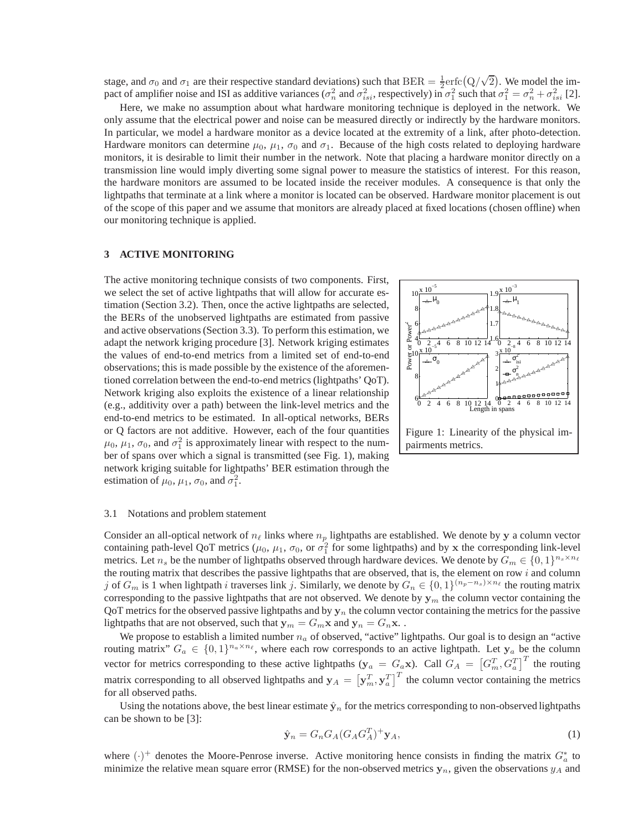stage, and  $\sigma_0$  and  $\sigma_1$  are their respective standard deviations) such that  $BER = \frac{1}{2}$ erfc $(Q/\sqrt{2})$ . We model the imbact of amplifier noise and ISI as additive variances ( $\sigma_n^2$  and  $\sigma_{isj}^2$ , respectively) in  $\sigma_1^2$  such that  $\sigma_1^2 = \sigma_n^2 + \sigma_{isj}^2$  [2].

Here, we make no assumption about what hardware monitoring technique is deployed in the network. We only assume that the electrical power and noise can be measured directly or indirectly by the hardware monitors. In particular, we model a hardware monitor as a device located at the extremity of a link, after photo-detection. Hardware monitors can determine  $\mu_0$ ,  $\mu_1$ ,  $\sigma_0$  and  $\sigma_1$ . Because of the high costs related to deploying hardware monitors, it is desirable to limit their number in the network. Note that placing a hardware monitor directly on a transmission line would imply diverting some signal power to measure the statistics of interest. For this reason, the hardware monitors are assumed to be located inside the receiver modules. A consequence is that only the lightpaths that terminate at a link where a monitor is located can be observed. Hardware monitor placement is out of the scope of this paper and we assume that monitors are already placed at fixed locations (chosen offline) when our monitoring technique is applied.

# **3 ACTIVE MONITORING**

The active monitoring technique consists of two components. First, we select the set of active lightpaths that will allow for accurate estimation (Section 3.2). Then, once the active lightpaths are selected, the BERs of the unobserved lightpaths are estimated from passive and active observations (Section 3.3). To perform this estimation, we adapt the network kriging procedure [3]. Network kriging estimates the values of end-to-end metrics from a limited set of end-to-end observations; this is made possible by the existence of the aforementioned correlation between the end-to-end metrics (lightpaths' QoT). Network kriging also exploits the existence of a linear relationship (e.g., additivity over a path) between the link-level metrics and the end-to-end metrics to be estimated. In all-optical networks, BERs or Q factors are not additive. However, each of the four quantities  $\mu_0$ ,  $\mu_1$ ,  $\sigma_0$ , and  $\sigma_1^2$  is approximately linear with respect to the number of spans over which a signal is transmitted (see Fig. 1), making network kriging suitable for lightpaths' BER estimation through the estimation of  $\mu_0$ ,  $\mu_1$ ,  $\sigma_0$ , and  $\sigma_1^2$ .



#### 3.1 Notations and problem statement

Consider an all-optical network of  $n_\ell$  links where  $n_p$  lightpaths are established. We denote by y a column vector containing path-level QoT metrics ( $\mu_0$ ,  $\mu_1$ ,  $\sigma_0$ , or  $\sigma_1^2$  for some lightpaths) and by x the corresponding link-level metrics. Let  $n_s$  be the number of lightpaths observed through hardware devices. We denote by  $G_m \in \{0,1\}^{n_s \times n_\ell}$ the routing matrix that describes the passive lightpaths that are observed, that is, the element on row  $i$  and column j of  $G_m$  is 1 when lightpath i traverses link j. Similarly, we denote by  $G_n \in \{0,1\}^{(n_p-n_s)\times n_\ell}$  the routing matrix corresponding to the passive lightpaths that are not observed. We denote by  $y_m$  the column vector containing the QoT metrics for the observed passive lightpaths and by  $y_n$  the column vector containing the metrics for the passive lightpaths that are not observed, such that  $y_m = G_m x$  and  $y_n = G_n x$ .

We propose to establish a limited number  $n_a$  of observed, "active" lightpaths. Our goal is to design an "active routing matrix"  $G_a \in \{0,1\}^{n_a \times n_\ell}$ , where each row corresponds to an active lightpath. Let  $y_a$  be the column vector for metrics corresponding to these active lightpaths ( $y_a = G_a x$ ). Call  $G_A = [G_m^T, G_a^T]^T$  the routing matrix corresponding to all observed lightpaths and  $y_A = [\mathbf{y}_m^T, \mathbf{y}_a^T]^T$  the column vector containing the metrics for all observed paths.

Using the notations above, the best linear estimate  $\hat{y}_n$  for the metrics corresponding to non-observed lightpaths can be shown to be [3]:

$$
\hat{\mathbf{y}}_n = G_n G_A (G_A G_A^T)^+ \mathbf{y}_A,\tag{1}
$$

where  $(\cdot)^+$  denotes the Moore-Penrose inverse. Active monitoring hence consists in finding the matrix  $G^*_a$  to minimize the relative mean square error (RMSE) for the non-observed metrics  $y_n$ , given the observations  $y_A$  and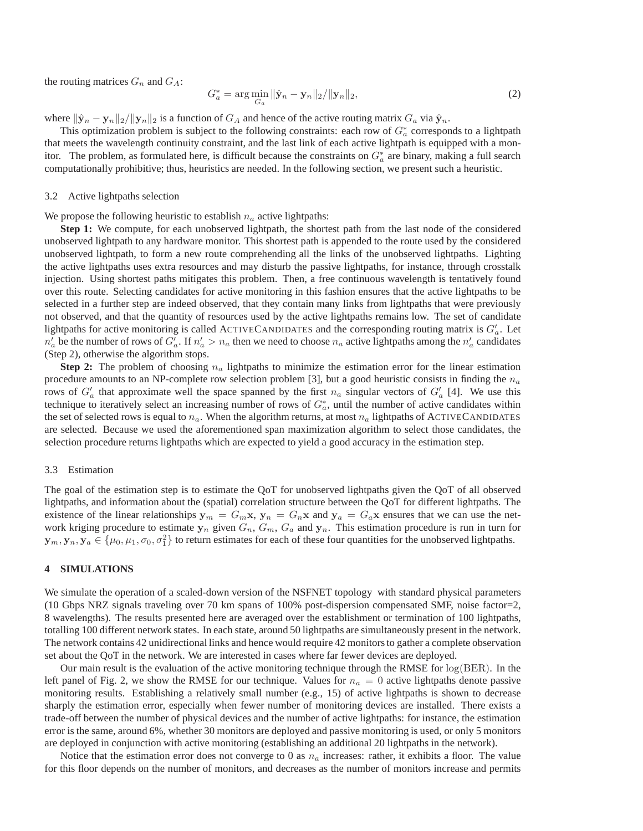the routing matrices  $G_n$  and  $G_A$ :

$$
G_a^* = \arg\min_{G_a} \|\hat{\mathbf{y}}_n - \mathbf{y}_n\|_2 / \|\mathbf{y}_n\|_2,
$$
\n(2)

where  $\|\hat{\mathbf{y}}_n - \mathbf{y}_n\|_2 / \|\mathbf{y}_n\|_2$  is a function of  $G_A$  and hence of the active routing matrix  $G_a$  via  $\hat{\mathbf{y}}_n$ .

This optimization problem is subject to the following constraints: each row of  $G^*_{a}$  corresponds to a lightpath that meets the wavelength continuity constraint, and the last link of each active lightpath is equipped with a monitor. The problem, as formulated here, is difficult because the constraints on  $G_a^*$  are binary, making a full search computationally prohibitive; thus, heuristics are needed. In the following section, we present such a heuristic.

#### 3.2 Active lightpaths selection

We propose the following heuristic to establish  $n_a$  active lightpaths:

**Step 1:** We compute, for each unobserved lightpath, the shortest path from the last node of the considered unobserved lightpath to any hardware monitor. This shortest path is appended to the route used by the considered unobserved lightpath, to form a new route comprehending all the links of the unobserved lightpaths. Lighting the active lightpaths uses extra resources and may disturb the passive lightpaths, for instance, through crosstalk injection. Using shortest paths mitigates this problem. Then, a free continuous wavelength is tentatively found over this route. Selecting candidates for active monitoring in this fashion ensures that the active lightpaths to be selected in a further step are indeed observed, that they contain many links from lightpaths that were previously not observed, and that the quantity of resources used by the active lightpaths remains low. The set of candidate lightpaths for active monitoring is called ACTIVECANDIDATES and the corresponding routing matrix is  $G'_{a}$ . Let  $n'_a$  be the number of rows of  $G'_a$ . If  $n'_a > n_a$  then we need to choose  $n_a$  active lightpaths among the  $n'_a$  candidates (Step 2), otherwise the algorithm stops.

**Step 2:** The problem of choosing  $n_a$  lightpaths to minimize the estimation error for the linear estimation procedure amounts to an NP-complete row selection problem [3], but a good heuristic consists in finding the  $n_a$ rows of  $G'_a$  that approximate well the space spanned by the first  $n_a$  singular vectors of  $G'_a$  [4]. We use this technique to iteratively select an increasing number of rows of  $G_a^*$ , until the number of active candidates within the set of selected rows is equal to  $n_a$ . When the algorithm returns, at most  $n_a$  lightpaths of ACTIVECANDIDATES are selected. Because we used the aforementioned span maximization algorithm to select those candidates, the selection procedure returns lightpaths which are expected to yield a good accuracy in the estimation step.

#### 3.3 Estimation

The goal of the estimation step is to estimate the QoT for unobserved lightpaths given the QoT of all observed lightpaths, and information about the (spatial) correlation structure between the QoT for different lightpaths. The existence of the linear relationships  $y_m = G_m x$ ,  $y_n = G_n x$  and  $y_a = G_a x$  ensures that we can use the network kriging procedure to estimate  $y_n$  given  $G_n$ ,  $G_m$ ,  $G_a$  and  $y_n$ . This estimation procedure is run in turn for  $\mathbf{y}_m, \mathbf{y}_n, \mathbf{y}_a \in {\mu_0, \mu_1, \sigma_0, \sigma_1^2}$  to return estimates for each of these four quantities for the unobserved lightpaths.

#### **4 SIMULATIONS**

We simulate the operation of a scaled-down version of the NSFNET topology with standard physical parameters (10 Gbps NRZ signals traveling over 70 km spans of 100% post-dispersion compensated SMF, noise factor=2, 8 wavelengths). The results presented here are averaged over the establishment or termination of 100 lightpaths, totalling 100 different network states. In each state, around 50 lightpaths are simultaneously present in the network. The network contains 42 unidirectional links and hence would require 42 monitors to gather a complete observation set about the QoT in the network. We are interested in cases where far fewer devices are deployed.

Our main result is the evaluation of the active monitoring technique through the RMSE for  $log(BER)$ . In the left panel of Fig. 2, we show the RMSE for our technique. Values for  $n_a = 0$  active lightpaths denote passive monitoring results. Establishing a relatively small number (e.g., 15) of active lightpaths is shown to decrease sharply the estimation error, especially when fewer number of monitoring devices are installed. There exists a trade-off between the number of physical devices and the number of active lightpaths: for instance, the estimation error is the same, around 6%, whether 30 monitors are deployed and passive monitoring is used, or only 5 monitors are deployed in conjunction with active monitoring (establishing an additional 20 lightpaths in the network).

Notice that the estimation error does not converge to 0 as  $n_a$  increases: rather, it exhibits a floor. The value for this floor depends on the number of monitors, and decreases as the number of monitors increase and permits